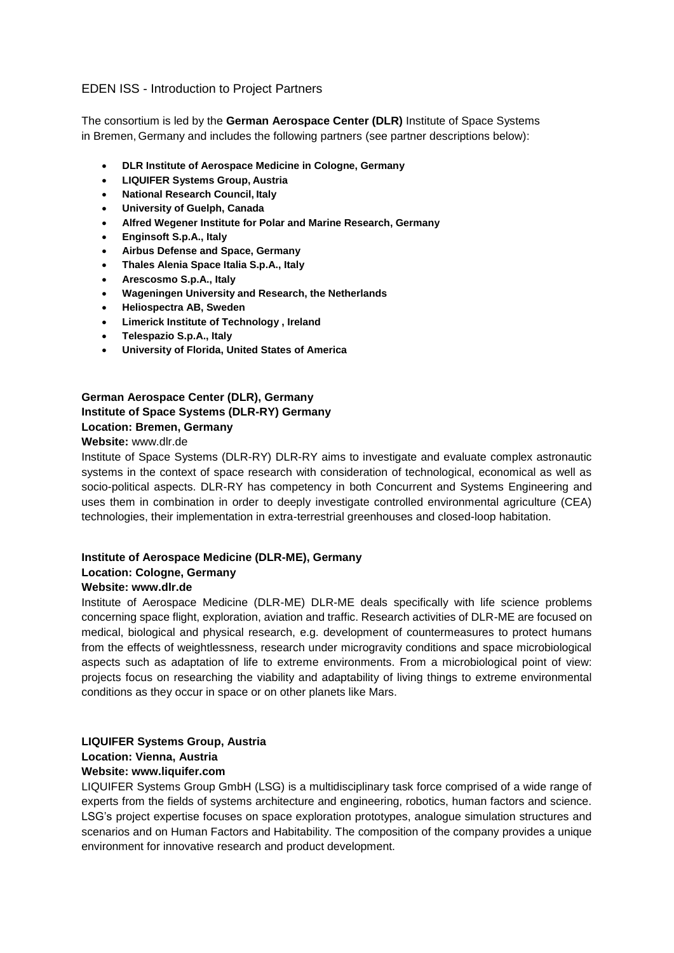# EDEN ISS - Introduction to Project Partners

The consortium is led by the **German Aerospace Center (DLR)** Institute of Space Systems in Bremen, Germany and includes the following partners (see partner descriptions below):

- **DLR Institute of Aerospace Medicine in Cologne, Germany**
- **LIQUIFER Systems Group, Austria**
- **National Research Council, Italy**
- **University of Guelph, Canada**
- **Alfred Wegener Institute for Polar and Marine Research, Germany**
- **Enginsoft S.p.A., Italy**
- **Airbus Defense and Space, Germany**
- **Thales Alenia Space Italia S.p.A., Italy**
- **Arescosmo S.p.A., Italy**
- **Wageningen University and Research, the Netherlands**
- **Heliospectra AB, Sweden**
- **Limerick Institute of Technology , Ireland**
- **Telespazio S.p.A., Italy**
- **University of Florida, United States of America**

# **German Aerospace Center (DLR), Germany Institute of Space Systems (DLR-RY) Germany Location: Bremen, Germany**

### **Website:** www.dlr.de

Institute of Space Systems (DLR-RY) DLR-RY aims to investigate and evaluate complex astronautic systems in the context of space research with consideration of technological, economical as well as socio-political aspects. DLR-RY has competency in both Concurrent and Systems Engineering and uses them in combination in order to deeply investigate controlled environmental agriculture (CEA) technologies, their implementation in extra-terrestrial greenhouses and closed-loop habitation.

# **Institute of Aerospace Medicine (DLR-ME), Germany Location: Cologne, Germany**

## **Website: www.dlr.de**

Institute of Aerospace Medicine (DLR-ME) DLR-ME deals specifically with life science problems concerning space flight, exploration, aviation and traffic. Research activities of DLR-ME are focused on medical, biological and physical research, e.g. development of countermeasures to protect humans from the effects of weightlessness, research under microgravity conditions and space microbiological aspects such as adaptation of life to extreme environments. From a microbiological point of view: projects focus on researching the viability and adaptability of living things to extreme environmental conditions as they occur in space or on other planets like Mars.

## **LIQUIFER Systems Group, Austria Location: Vienna, Austria Website: www.liquifer.com**

LIQUIFER Systems Group GmbH (LSG) is a multidisciplinary task force comprised of a wide range of experts from the fields of systems architecture and engineering, robotics, human factors and science. LSG's project expertise focuses on space exploration prototypes, analogue simulation structures and scenarios and on Human Factors and Habitability. The composition of the company provides a unique environment for innovative research and product development.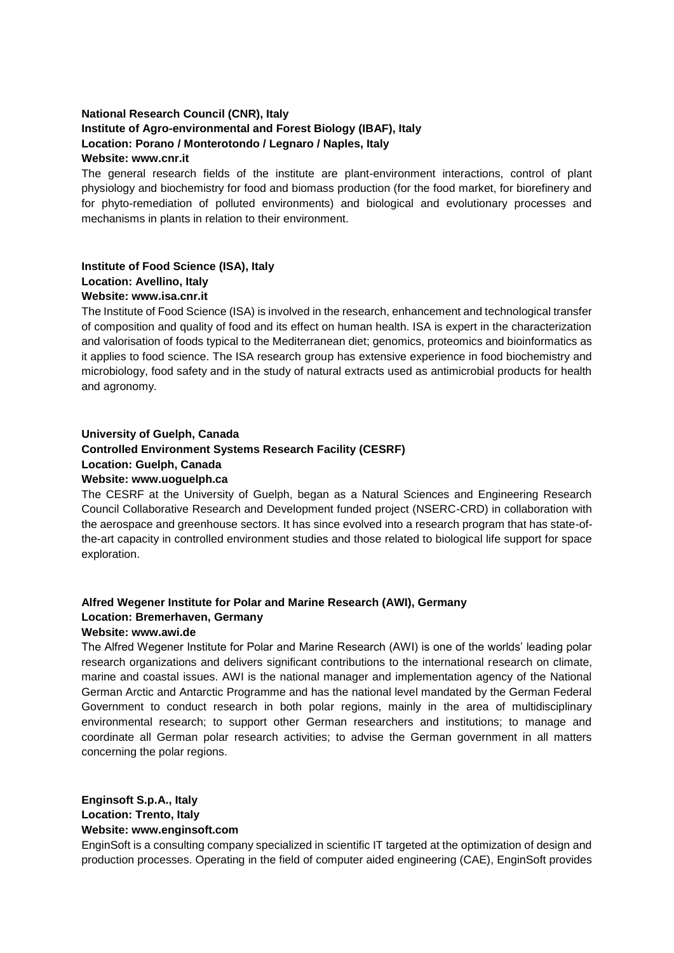## **National Research Council (CNR), Italy Institute of Agro-environmental and Forest Biology (IBAF), Italy Location: Porano / Monterotondo / Legnaro / Naples, Italy Website: www.cnr.it**

The general research fields of the institute are plant-environment interactions, control of plant physiology and biochemistry for food and biomass production (for the food market, for biorefinery and for phyto-remediation of polluted environments) and biological and evolutionary processes and mechanisms in plants in relation to their environment.

## **Institute of Food Science (ISA), Italy Location: Avellino, Italy Website: www.isa.cnr.it**

The Institute of Food Science (ISA) is involved in the research, enhancement and technological transfer of composition and quality of food and its effect on human health. ISA is expert in the characterization and valorisation of foods typical to the Mediterranean diet; genomics, proteomics and bioinformatics as it applies to food science. The ISA research group has extensive experience in food biochemistry and microbiology, food safety and in the study of natural extracts used as antimicrobial products for health and agronomy.

## **University of Guelph, Canada**

# **Controlled Environment Systems Research Facility (CESRF)**

### **Location: Guelph, Canada**

### **Website: www.uoguelph.ca**

The CESRF at the University of Guelph, began as a Natural Sciences and Engineering Research Council Collaborative Research and Development funded project (NSERC-CRD) in collaboration with the aerospace and greenhouse sectors. It has since evolved into a research program that has state-ofthe-art capacity in controlled environment studies and those related to biological life support for space exploration.

# **Alfred Wegener Institute for Polar and Marine Research (AWI), Germany Location: Bremerhaven, Germany**

## **Website: www.awi.de**

The Alfred Wegener Institute for Polar and Marine Research (AWI) is one of the worlds' leading polar research organizations and delivers significant contributions to the international research on climate, marine and coastal issues. AWI is the national manager and implementation agency of the National German Arctic and Antarctic Programme and has the national level mandated by the German Federal Government to conduct research in both polar regions, mainly in the area of multidisciplinary environmental research; to support other German researchers and institutions; to manage and coordinate all German polar research activities; to advise the German government in all matters concerning the polar regions.

**Enginsoft S.p.A., Italy Location: Trento, Italy Website: www.enginsoft.com**

EnginSoft is a consulting company specialized in scientific IT targeted at the optimization of design and production processes. Operating in the field of computer aided engineering (CAE), EnginSoft provides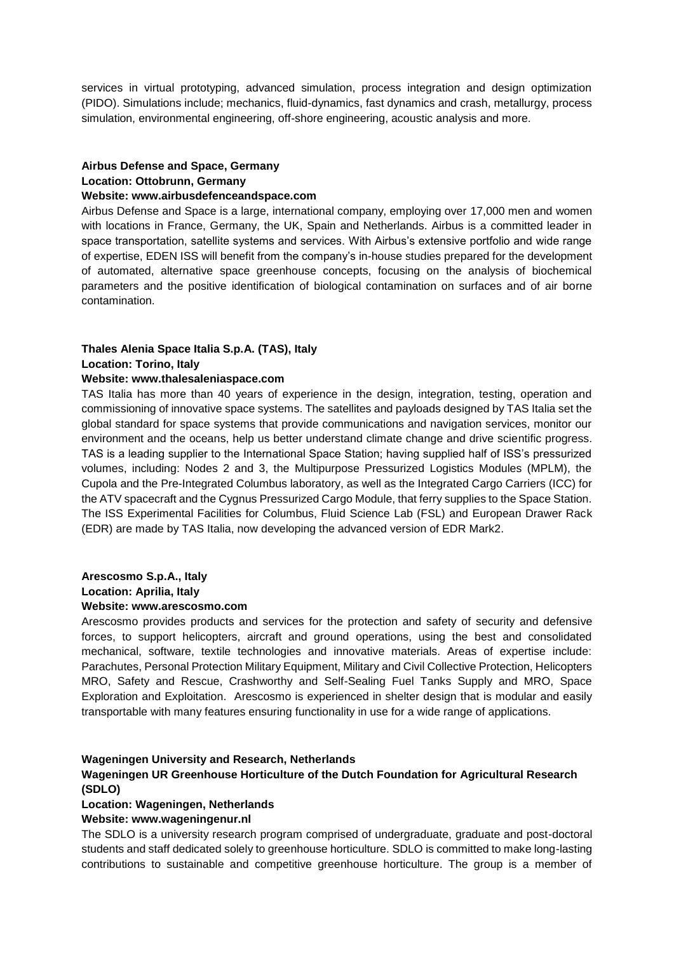services in virtual prototyping, advanced simulation, process integration and design optimization (PIDO). Simulations include; mechanics, fluid-dynamics, fast dynamics and crash, metallurgy, process simulation, environmental engineering, off-shore engineering, acoustic analysis and more.

# **Airbus Defense and Space, Germany Location: Ottobrunn, Germany**

### **Website: www.airbusdefenceandspace.com**

Airbus Defense and Space is a large, international company, employing over 17,000 men and women with locations in France, Germany, the UK, Spain and Netherlands. Airbus is a committed leader in space transportation, satellite systems and services. With Airbus's extensive portfolio and wide range of expertise, EDEN ISS will benefit from the company's in-house studies prepared for the development of automated, alternative space greenhouse concepts, focusing on the analysis of biochemical parameters and the positive identification of biological contamination on surfaces and of air borne contamination.

# **Thales Alenia Space Italia S.p.A. (TAS), Italy**

### **Location: Torino, Italy**

## **Website: www.thalesaleniaspace.com**

TAS Italia has more than 40 years of experience in the design, integration, testing, operation and commissioning of innovative space systems. The satellites and payloads designed by TAS Italia set the global standard for space systems that provide communications and navigation services, monitor our environment and the oceans, help us better understand climate change and drive scientific progress. TAS is a leading supplier to the International Space Station; having supplied half of ISS's pressurized volumes, including: Nodes 2 and 3, the Multipurpose Pressurized Logistics Modules (MPLM), the Cupola and the Pre-Integrated Columbus laboratory, as well as the Integrated Cargo Carriers (ICC) for the ATV spacecraft and the Cygnus Pressurized Cargo Module, that ferry supplies to the Space Station. The ISS Experimental Facilities for Columbus, Fluid Science Lab (FSL) and European Drawer Rack (EDR) are made by TAS Italia, now developing the advanced version of EDR Mark2.

### **Arescosmo S.p.A., Italy Location: Aprilia, Italy Website: www.arescosmo.com**

Arescosmo provides products and services for the protection and safety of security and defensive forces, to support helicopters, aircraft and ground operations, using the best and consolidated mechanical, software, textile technologies and innovative materials. Areas of expertise include: Parachutes, Personal Protection Military Equipment, Military and Civil Collective Protection, Helicopters MRO, Safety and Rescue, Crashworthy and Self-Sealing Fuel Tanks Supply and MRO, Space Exploration and Exploitation. Arescosmo is experienced in shelter design that is modular and easily transportable with many features ensuring functionality in use for a wide range of applications.

### **Wageningen University and Research, Netherlands**

## **Wageningen UR Greenhouse Horticulture of the Dutch Foundation for Agricultural Research (SDLO)**

### **Location: Wageningen, Netherlands**

### **Website: www.wageningenur.nl**

The SDLO is a university research program comprised of undergraduate, graduate and post-doctoral students and staff dedicated solely to greenhouse horticulture. SDLO is committed to make long-lasting contributions to sustainable and competitive greenhouse horticulture. The group is a member of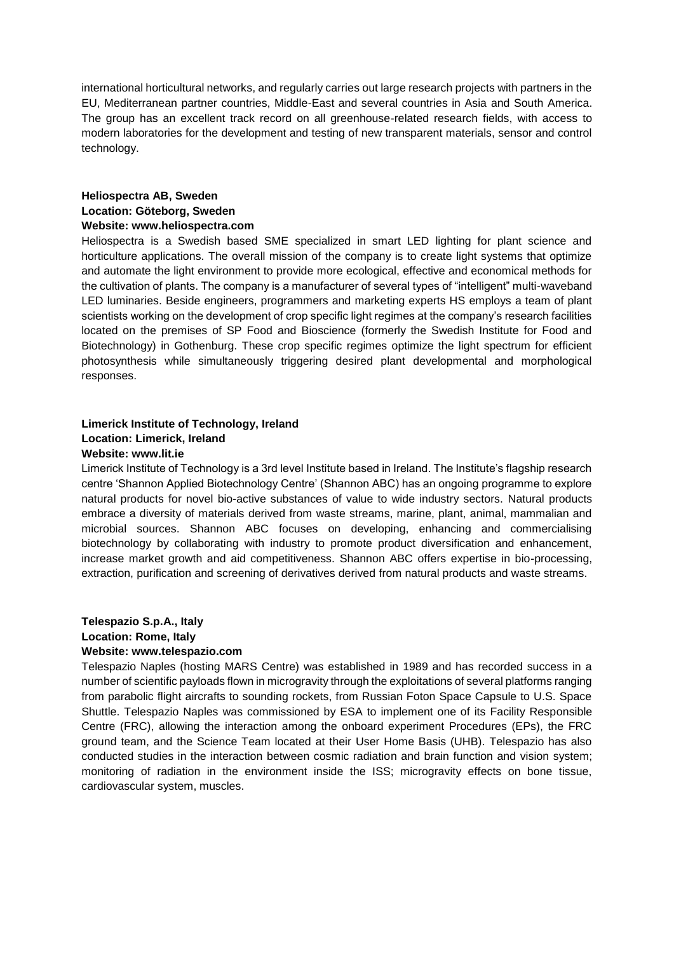international horticultural networks, and regularly carries out large research projects with partners in the EU, Mediterranean partner countries, Middle-East and several countries in Asia and South America. The group has an excellent track record on all greenhouse-related research fields, with access to modern laboratories for the development and testing of new transparent materials, sensor and control technology.

### **Heliospectra AB, Sweden Location: Göteborg, Sweden Website: www.heliospectra.com**

Heliospectra is a Swedish based SME specialized in smart LED lighting for plant science and horticulture applications. The overall mission of the company is to create light systems that optimize and automate the light environment to provide more ecological, effective and economical methods for the cultivation of plants. The company is a manufacturer of several types of "intelligent" multi-waveband LED luminaries. Beside engineers, programmers and marketing experts HS employs a team of plant scientists working on the development of crop specific light regimes at the company's research facilities located on the premises of SP Food and Bioscience (formerly the Swedish Institute for Food and Biotechnology) in Gothenburg. These crop specific regimes optimize the light spectrum for efficient photosynthesis while simultaneously triggering desired plant developmental and morphological responses.

# **Limerick Institute of Technology, Ireland Location: Limerick, Ireland**

## **Website: www.lit.ie**

Limerick Institute of Technology is a 3rd level Institute based in Ireland. The Institute's flagship research centre 'Shannon Applied Biotechnology Centre' (Shannon ABC) has an ongoing programme to explore natural products for novel bio-active substances of value to wide industry sectors. Natural products embrace a diversity of materials derived from waste streams, marine, plant, animal, mammalian and microbial sources. Shannon ABC focuses on developing, enhancing and commercialising biotechnology by collaborating with industry to promote product diversification and enhancement, increase market growth and aid competitiveness. Shannon ABC offers expertise in bio-processing, extraction, purification and screening of derivatives derived from natural products and waste streams.

## **Telespazio S.p.A., Italy Location: Rome, Italy Website: www.telespazio.com**

Telespazio Naples (hosting MARS Centre) was established in 1989 and has recorded success in a number of scientific payloads flown in microgravity through the exploitations of several platforms ranging from parabolic flight aircrafts to sounding rockets, from Russian Foton Space Capsule to U.S. Space Shuttle. Telespazio Naples was commissioned by ESA to implement one of its Facility Responsible Centre (FRC), allowing the interaction among the onboard experiment Procedures (EPs), the FRC ground team, and the Science Team located at their User Home Basis (UHB). Telespazio has also conducted studies in the interaction between cosmic radiation and brain function and vision system; monitoring of radiation in the environment inside the ISS; microgravity effects on bone tissue, cardiovascular system, muscles.